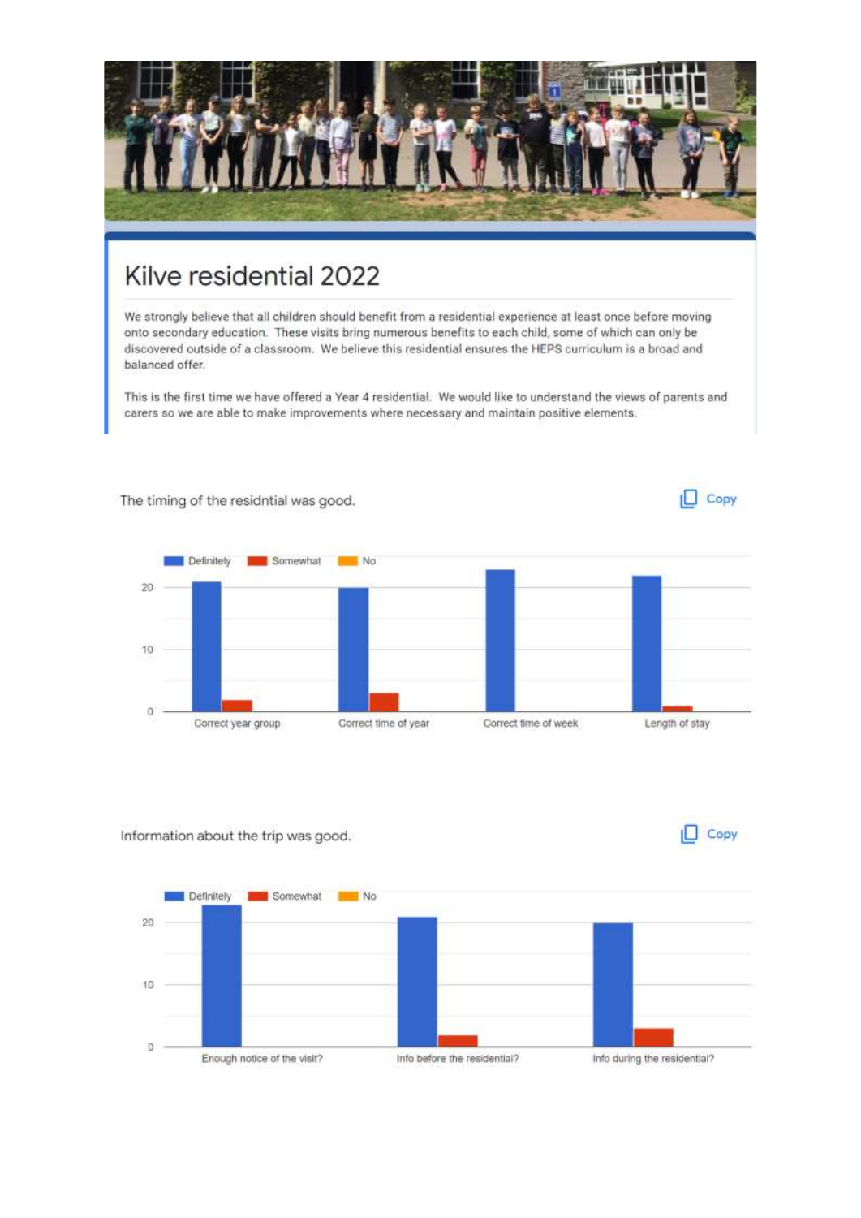

## Kilve residential 2022

We strongly believe that all children should benefit from a residential experience at least once before moving onto secondary education. These visits bring numerous benefits to each child, some of which can only be discovered outside of a classroom. We believe this residential ensures the HEPS curriculum is a broad and balanced offer.

This is the first time we have offered a Year 4 residential. We would like to understand the views of parents and carers so we are able to make improvements where necessary and maintain positive elements.



Information about the trip was good.



 $\Box$  Copy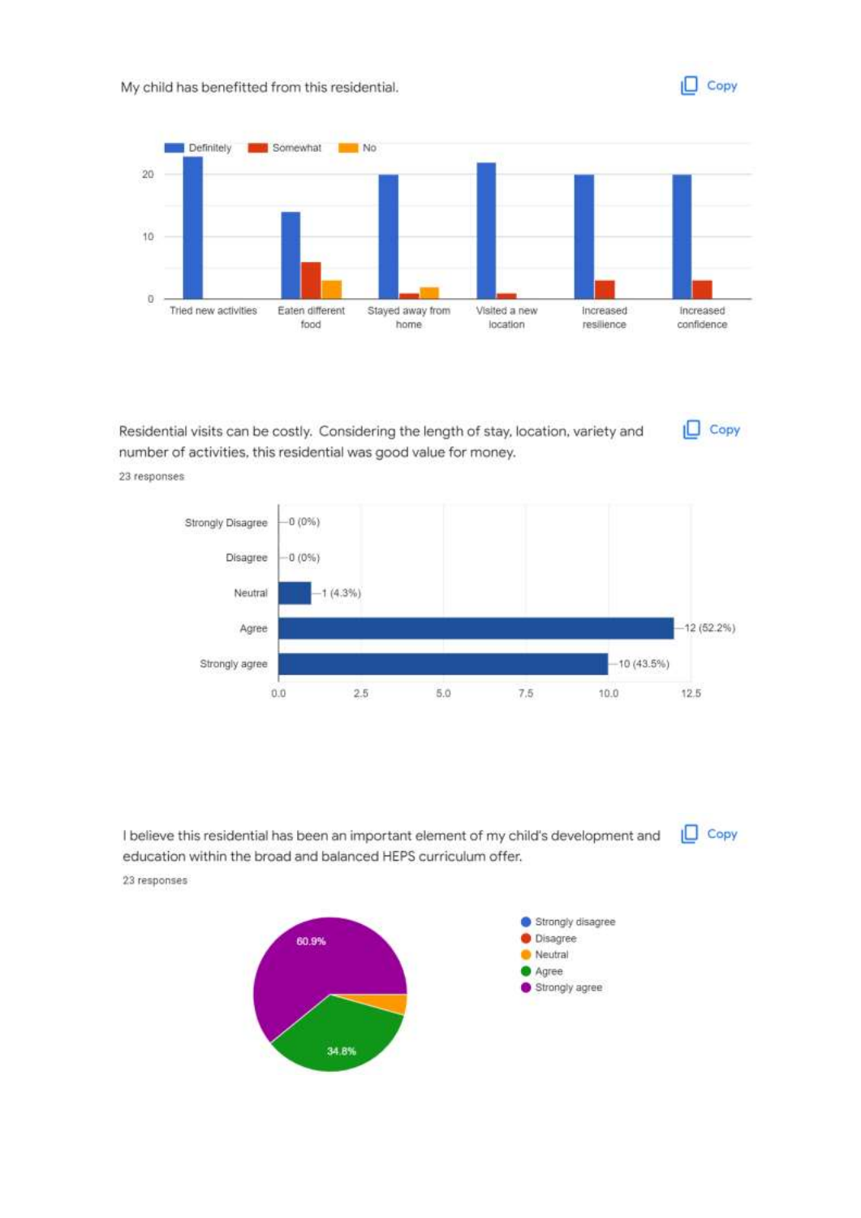

 $\Box$  Copy



Residential visits can be costly. Considering the length of stay, location, variety and number of activities, this residential was good value for money.

23 responses



 $\Box$  Copy I believe this residential has been an important element of my child's development and education within the broad and balanced HEPS curriculum offer. 23 responses

> Strongly disagree **O** Disagree 60.9% Neutral Agree Strongly agree 34.8%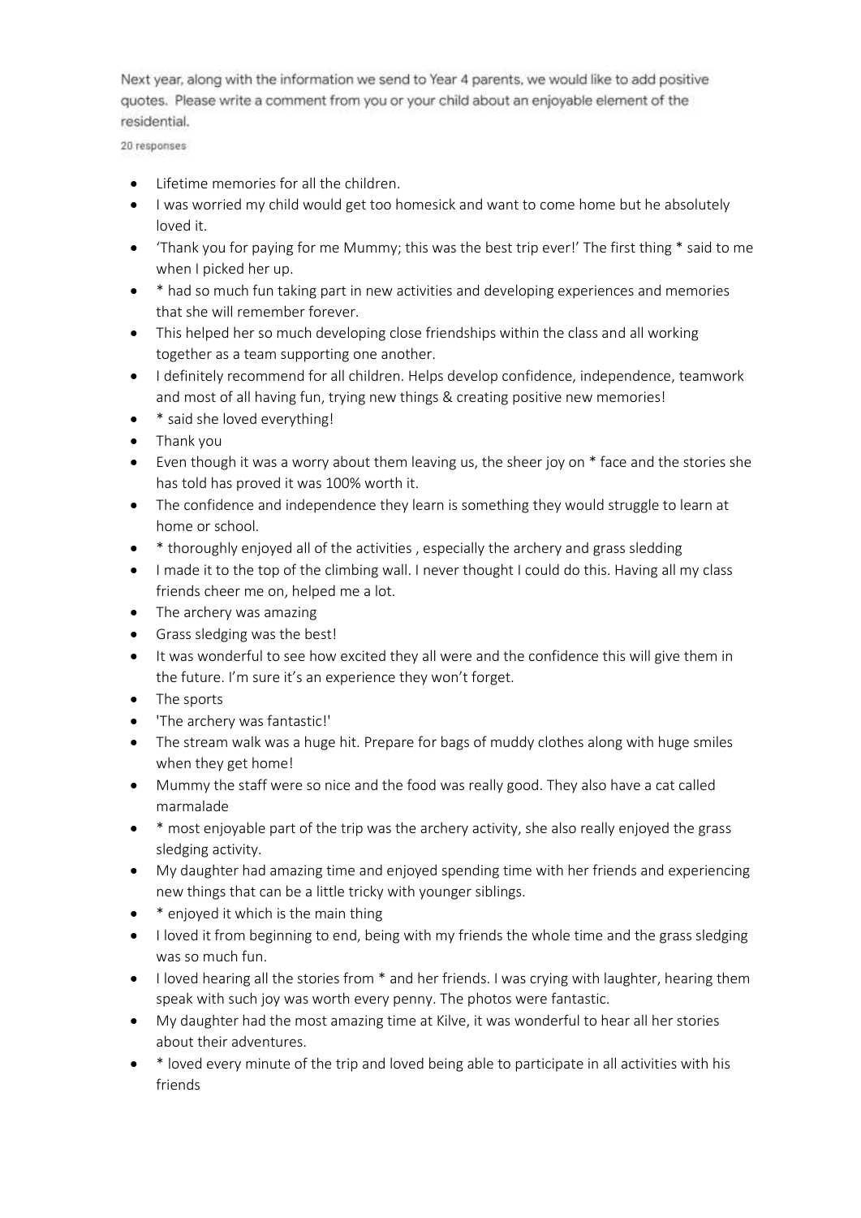Next year, along with the information we send to Year 4 parents, we would like to add positive quotes. Please write a comment from you or your child about an enjoyable element of the residential.

20 responses

- Lifetime memories for all the children.
- I was worried my child would get too homesick and want to come home but he absolutely loved it.
- 'Thank you for paying for me Mummy; this was the best trip ever!' The first thing \* said to me when I picked her up.
- \* had so much fun taking part in new activities and developing experiences and memories that she will remember forever.
- This helped her so much developing close friendships within the class and all working together as a team supporting one another.
- I definitely recommend for all children. Helps develop confidence, independence, teamwork and most of all having fun, trying new things & creating positive new memories!
- \* said she loved everything!
- Thank you
- Even though it was a worry about them leaving us, the sheer joy on \* face and the stories she has told has proved it was 100% worth it.
- The confidence and independence they learn is something they would struggle to learn at home or school.
- \* thoroughly enjoyed all of the activities , especially the archery and grass sledding
- I made it to the top of the climbing wall. I never thought I could do this. Having all my class friends cheer me on, helped me a lot.
- The archery was amazing
- Grass sledging was the best!
- It was wonderful to see how excited they all were and the confidence this will give them in the future. I'm sure it's an experience they won't forget.
- The sports
- 'The archery was fantastic!'
- The stream walk was a huge hit. Prepare for bags of muddy clothes along with huge smiles when they get home!
- Mummy the staff were so nice and the food was really good. They also have a cat called marmalade
- \* most enjoyable part of the trip was the archery activity, she also really enjoyed the grass sledging activity.
- My daughter had amazing time and enjoyed spending time with her friends and experiencing new things that can be a little tricky with younger siblings.
- \* enjoyed it which is the main thing
- I loved it from beginning to end, being with my friends the whole time and the grass sledging was so much fun.
- I loved hearing all the stories from  $*$  and her friends. I was crying with laughter, hearing them speak with such joy was worth every penny. The photos were fantastic.
- My daughter had the most amazing time at Kilve, it was wonderful to hear all her stories about their adventures.
- \* loved every minute of the trip and loved being able to participate in all activities with his friends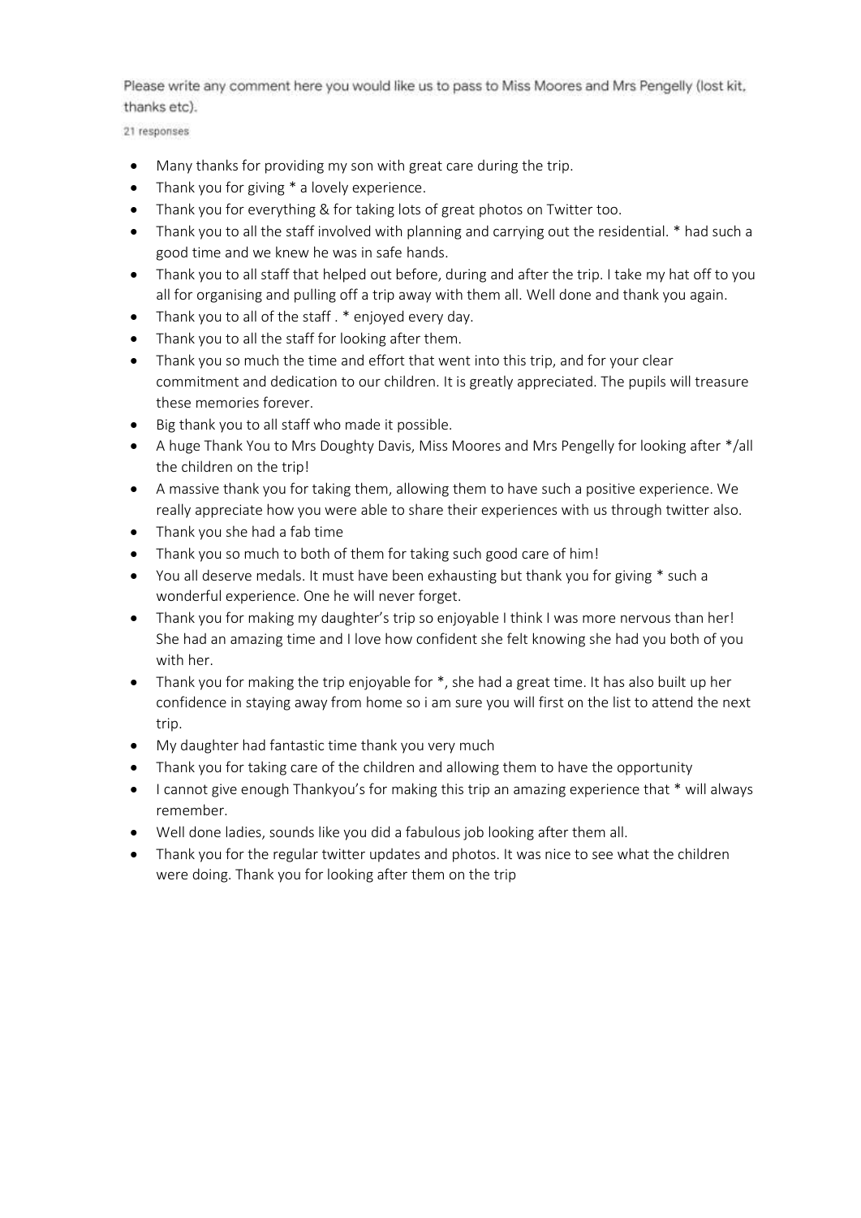Please write any comment here you would like us to pass to Miss Moores and Mrs Pengelly (lost kit, thanks etc).

21 responses

- Many thanks for providing my son with great care during the trip.
- Thank you for giving \* a lovely experience.
- Thank you for everything & for taking lots of great photos on Twitter too.
- Thank you to all the staff involved with planning and carrying out the residential. \* had such a good time and we knew he was in safe hands.
- Thank you to all staff that helped out before, during and after the trip. I take my hat off to you all for organising and pulling off a trip away with them all. Well done and thank you again.
- Thank you to all of the staff . \* enjoyed every day.
- Thank you to all the staff for looking after them.
- Thank you so much the time and effort that went into this trip, and for your clear commitment and dedication to our children. It is greatly appreciated. The pupils will treasure these memories forever.
- Big thank you to all staff who made it possible.
- A huge Thank You to Mrs Doughty Davis, Miss Moores and Mrs Pengelly for looking after \*/all the children on the trip!
- A massive thank you for taking them, allowing them to have such a positive experience. We really appreciate how you were able to share their experiences with us through twitter also.
- Thank you she had a fab time
- Thank you so much to both of them for taking such good care of him!
- You all deserve medals. It must have been exhausting but thank you for giving \* such a wonderful experience. One he will never forget.
- Thank you for making my daughter's trip so enjoyable I think I was more nervous than her! She had an amazing time and I love how confident she felt knowing she had you both of you with her.
- Thank you for making the trip enjoyable for \*, she had a great time. It has also built up her confidence in staying away from home so i am sure you will first on the list to attend the next trip.
- My daughter had fantastic time thank you very much
- Thank you for taking care of the children and allowing them to have the opportunity
- I cannot give enough Thankyou's for making this trip an amazing experience that \* will always remember.
- Well done ladies, sounds like you did a fabulous job looking after them all.
- Thank you for the regular twitter updates and photos. It was nice to see what the children were doing. Thank you for looking after them on the trip